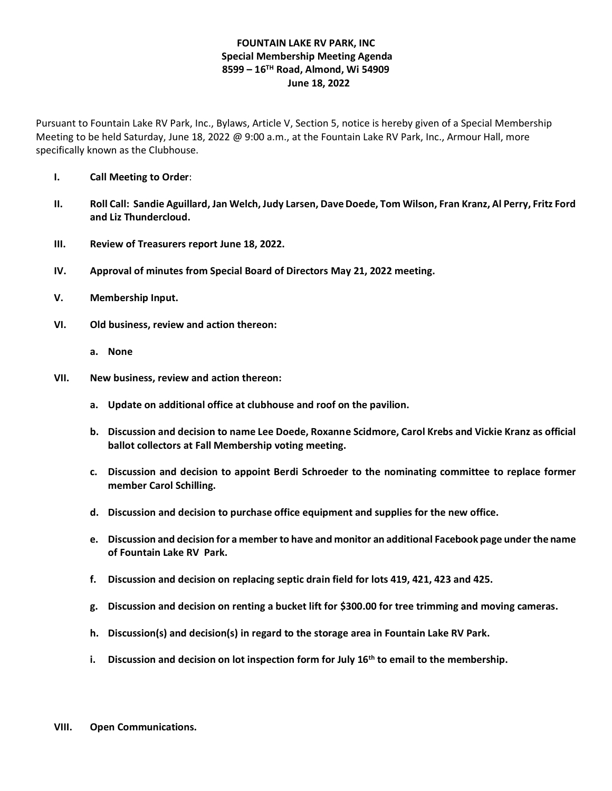## **FOUNTAIN LAKE RV PARK, INC Special Membership Meeting Agenda 8599 – 16TH Road, Almond, Wi 54909 June 18, 2022**

Pursuant to Fountain Lake RV Park, Inc., Bylaws, Article V, Section 5, notice is hereby given of a Special Membership Meeting to be held Saturday, June 18, 2022 @ 9:00 a.m., at the Fountain Lake RV Park, Inc., Armour Hall, more specifically known as the Clubhouse.

- **I. Call Meeting to Order**:
- **II. Roll Call: Sandie Aguillard, Jan Welch, Judy Larsen, Dave Doede, Tom Wilson, Fran Kranz, Al Perry, Fritz Ford and Liz Thundercloud.**
- **III. Review of Treasurers report June 18, 2022.**
- **IV. Approval of minutes from Special Board of Directors May 21, 2022 meeting.**
- **V. Membership Input.**
- **VI. Old business, review and action thereon:**
	- **a. None**
- **VII. New business, review and action thereon:**
	- **a. Update on additional office at clubhouse and roof on the pavilion.**
	- **b. Discussion and decision to name Lee Doede, Roxanne Scidmore, Carol Krebs and Vickie Kranz as official ballot collectors at Fall Membership voting meeting.**
	- **c. Discussion and decision to appoint Berdi Schroeder to the nominating committee to replace former member Carol Schilling.**
	- **d. Discussion and decision to purchase office equipment and supplies for the new office.**
	- **e. Discussion and decision for a member to have and monitor an additional Facebook page under the name of Fountain Lake RV Park.**
	- **f. Discussion and decision on replacing septic drain field for lots 419, 421, 423 and 425.**
	- **g. Discussion and decision on renting a bucket lift for \$300.00 for tree trimming and moving cameras.**
	- **h. Discussion(s) and decision(s) in regard to the storage area in Fountain Lake RV Park.**
	- **i. Discussion and decision on lot inspection form for July 16th to email to the membership.**